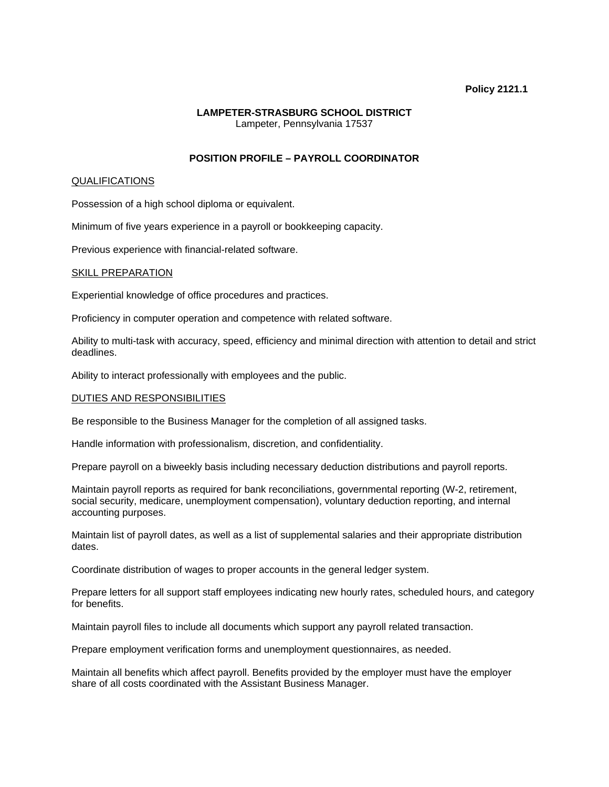### **Policy 2121.1**

### **LAMPETER-STRASBURG SCHOOL DISTRICT**  Lampeter, Pennsylvania 17537

# **POSITION PROFILE – PAYROLL COORDINATOR**

### QUALIFICATIONS

Possession of a high school diploma or equivalent.

Minimum of five years experience in a payroll or bookkeeping capacity.

Previous experience with financial-related software.

#### SKILL PREPARATION

Experiential knowledge of office procedures and practices.

Proficiency in computer operation and competence with related software.

Ability to multi-task with accuracy, speed, efficiency and minimal direction with attention to detail and strict deadlines.

Ability to interact professionally with employees and the public.

### DUTIES AND RESPONSIBILITIES

Be responsible to the Business Manager for the completion of all assigned tasks.

Handle information with professionalism, discretion, and confidentiality.

Prepare payroll on a biweekly basis including necessary deduction distributions and payroll reports.

Maintain payroll reports as required for bank reconciliations, governmental reporting (W-2, retirement, social security, medicare, unemployment compensation), voluntary deduction reporting, and internal accounting purposes.

Maintain list of payroll dates, as well as a list of supplemental salaries and their appropriate distribution dates.

Coordinate distribution of wages to proper accounts in the general ledger system.

Prepare letters for all support staff employees indicating new hourly rates, scheduled hours, and category for benefits.

Maintain payroll files to include all documents which support any payroll related transaction.

Prepare employment verification forms and unemployment questionnaires, as needed.

Maintain all benefits which affect payroll. Benefits provided by the employer must have the employer share of all costs coordinated with the Assistant Business Manager.